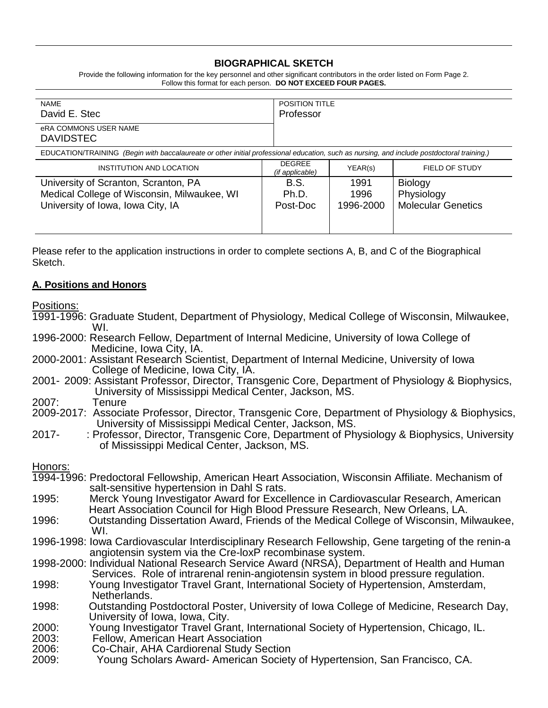## **BIOGRAPHICAL SKETCH**

Provide the following information for the key personnel and other significant contributors in the order listed on Form Page 2. Follow this format for each person. **DO NOT EXCEED FOUR PAGES.**

| <b>NAME</b><br>David E. Stec                                                                                                               | Professor                        | <b>POSITION TITLE</b>     |                                                           |  |
|--------------------------------------------------------------------------------------------------------------------------------------------|----------------------------------|---------------------------|-----------------------------------------------------------|--|
| eRA COMMONS USER NAME<br><b>DAVIDSTEC</b>                                                                                                  |                                  |                           |                                                           |  |
| EDUCATION/TRAINING (Begin with baccalaureate or other initial professional education, such as nursing, and include postdoctoral training.) |                                  |                           |                                                           |  |
| INSTITUTION AND LOCATION                                                                                                                   | <b>DEGREE</b><br>(if applicable) | YEAR(s)                   | FIELD OF STUDY                                            |  |
| University of Scranton, Scranton, PA<br>Medical College of Wisconsin, Milwaukee, WI<br>University of Iowa, Iowa City, IA                   | B.S.<br>Ph.D.<br>Post-Doc        | 1991<br>1996<br>1996-2000 | <b>Biology</b><br>Physiology<br><b>Molecular Genetics</b> |  |

Please refer to the application instructions in order to complete sections A, B, and C of the Biographical Sketch.

#### **A. Positions and Honors**

Positions:

1991-1996: Graduate Student, Department of Physiology, Medical College of Wisconsin, Milwaukee, WI.

1996-2000: Research Fellow, Department of Internal Medicine, University of Iowa College of Medicine, Iowa City, IA.

- 2000-2001: Assistant Research Scientist, Department of Internal Medicine, University of Iowa College of Medicine, Iowa City, IA.
- 2001- 2009: Assistant Professor, Director, Transgenic Core, Department of Physiology & Biophysics, University of Mississippi Medical Center, Jackson, MS.
- 2007: Tenure
- 2009-2017: Associate Professor, Director, Transgenic Core, Department of Physiology & Biophysics, University of Mississippi Medical Center, Jackson, MS.
- 2017- : Professor, Director, Transgenic Core, Department of Physiology & Biophysics, University of Mississippi Medical Center, Jackson, MS.

Honors:

- 1994-1996: Predoctoral Fellowship, American Heart Association, Wisconsin Affiliate. Mechanism of salt-sensitive hypertension in Dahl S rats.
- 1995: Merck Young Investigator Award for Excellence in Cardiovascular Research, American Heart Association Council for High Blood Pressure Research, New Orleans, LA.
- 1996: Outstanding Dissertation Award, Friends of the Medical College of Wisconsin, Milwaukee, WI.
- 1996-1998: Iowa Cardiovascular Interdisciplinary Research Fellowship, Gene targeting of the renin-a angiotensin system via the Cre-loxP recombinase system.

1998-2000: Individual National Research Service Award (NRSA), Department of Health and Human Services. Role of intrarenal renin-angiotensin system in blood pressure regulation.

1998: Young Investigator Travel Grant, International Society of Hypertension, Amsterdam, Netherlands.

- 1998: Outstanding Postdoctoral Poster, University of Iowa College of Medicine, Research Day, University of Iowa, Iowa, City.
- 2000: Young Investigator Travel Grant, International Society of Hypertension, Chicago, IL.
- 2003: Fellow, American Heart Association
- 2006: Co-Chair, AHA Cardiorenal Study Section
- 2009: Young Scholars Award- American Society of Hypertension, San Francisco, CA.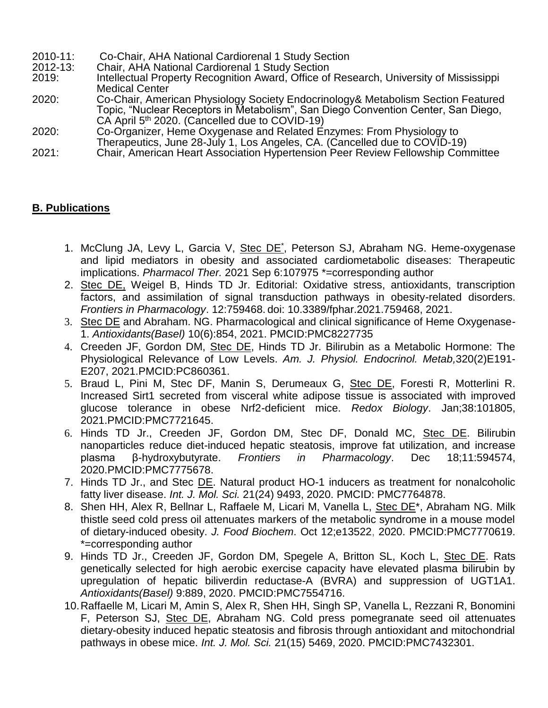- 2010-11: Co-Chair, AHA National Cardiorenal 1 Study Section
- 2012-13: Chair, AHA National Cardiorenal 1 Study Section
- 2019: Intellectual Property Recognition Award, Office of Research, University of Mississippi Medical Center
- 2020: Co-Chair, American Physiology Society Endocrinology& Metabolism Section Featured Topic, "Nuclear Receptors in Metabolism", San Diego Convention Center, San Diego, CA April  $5<sup>th</sup>$  2020. (Cancelled due to COVID-19)
- 2020: Co-Organizer, Heme Oxygenase and Related Enzymes: From Physiology to Therapeutics, June 28-July 1, Los Angeles, CA. (Cancelled due to COVID-19)
- 2021: Chair, American Heart Association Hypertension Peer Review Fellowship Committee

# **B. Publications**

- 1. McClung JA, Levy L, Garcia V, Stec DE<sup>\*</sup>, Peterson SJ, Abraham NG. Heme-oxygenase and lipid mediators in obesity and associated cardiometabolic diseases: Therapeutic implications. *Pharmacol Ther.* 2021 Sep 6:107975 \*=corresponding author
- 2. Stec DE, Weigel B, Hinds TD Jr. Editorial: Oxidative stress, antioxidants, transcription factors, and assimilation of signal transduction pathways in obesity-related disorders. *Frontiers in Pharmacology*. 12:759468. doi: 10.3389/fphar.2021.759468, 2021.
- 3. Stec DE and Abraham. NG. Pharmacological and clinical significance of Heme Oxygenase-1. *Antioxidants(Basel)* 10(6):854, 2021. PMCID:PMC8227735
- 4. Creeden JF, Gordon DM, Stec DE, Hinds TD Jr. Bilirubin as a Metabolic Hormone: The Physiological Relevance of Low Levels. *Am. J. Physiol. Endocrinol. Metab,*320(2)E191- E207, 2021.PMCID:PC860361.
- 5. Braud L, Pini M, Stec DF, Manin S, Derumeaux G, Stec DE, Foresti R, Motterlini R. Increased Sirt1 secreted from visceral white adipose tissue is associated with improved glucose tolerance in obese Nrf2-deficient mice. *Redox Biology*. Jan;38:101805, 2021.PMCID:PMC7721645.
- 6. Hinds TD Jr., Creeden JF, Gordon DM, Stec DF, Donald MC, Stec DE. Bilirubin nanoparticles reduce diet-induced hepatic steatosis, improve fat utilization, and increase plasma β-hydroxybutyrate. *Frontiers in Pharmacology*. Dec 18;11:594574, 2020.PMCID:PMC7775678.
- 7. Hinds TD Jr., and Stec DE. Natural product HO-1 inducers as treatment for nonalcoholic fatty liver disease. *Int. J. Mol. Sci.* 21(24) 9493, 2020. PMCID: PMC7764878.
- 8. Shen HH, Alex R, Bellnar L, Raffaele M, Licari M, Vanella L, Stec DE\*, Abraham NG. Milk thistle seed cold press oil attenuates markers of the metabolic syndrome in a mouse model of dietary-induced obesity. *J. Food Biochem*. Oct 12;e13522, 2020. PMCID:PMC7770619. \*=corresponding author
- 9. Hinds TD Jr., Creeden JF, Gordon DM, Spegele A, Britton SL, Koch L, Stec DE. Rats genetically selected for high aerobic exercise capacity have elevated plasma bilirubin by upregulation of hepatic biliverdin reductase-A (BVRA) and suppression of UGT1A1. *Antioxidants(Basel)* 9:889, 2020. PMCID:PMC7554716.
- 10.Raffaelle M, Licari M, Amin S, Alex R, Shen HH, Singh SP, Vanella L, Rezzani R, Bonomini F, Peterson SJ, Stec DE, Abraham NG. Cold press pomegranate seed oil attenuates dietary-obesity induced hepatic steatosis and fibrosis through antioxidant and mitochondrial pathways in obese mice. *Int. J. Mol. Sci.* 21(15) 5469, 2020. PMCID:PMC7432301.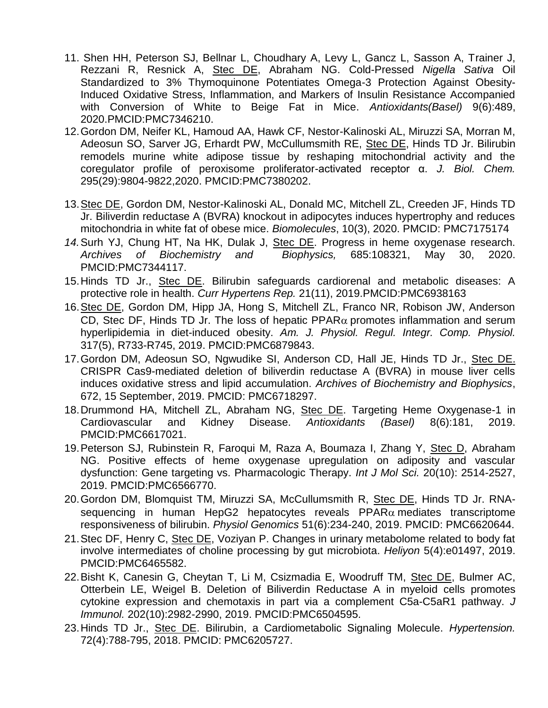- 11. Shen HH, Peterson SJ, Bellnar L, Choudhary A, Levy L, Gancz L, Sasson A, Trainer J, Rezzani R, Resnick A, Stec DE, Abraham NG. Cold-Pressed *Nigella Sativa* Oil Standardized to 3% Thymoquinone Potentiates Omega-3 Protection Against Obesity-Induced Oxidative Stress, Inflammation, and Markers of Insulin Resistance Accompanied with Conversion of White to Beige Fat in Mice. *Antioxidants(Basel)* 9(6):489, 2020.PMCID:PMC7346210.
- 12.Gordon DM, Neifer KL, Hamoud AA, Hawk CF, Nestor-Kalinoski AL, Miruzzi SA, Morran M, Adeosun SO, Sarver JG, Erhardt PW, McCullumsmith RE, Stec DE, Hinds TD Jr. Bilirubin remodels murine white adipose tissue by reshaping mitochondrial activity and the coregulator profile of peroxisome proliferator-activated receptor α. *J. Biol. Chem.* 295(29):9804-9822,2020. PMCID:PMC7380202.
- 13.Stec DE, Gordon DM, Nestor-Kalinoski AL, Donald MC, Mitchell ZL, Creeden JF, Hinds TD Jr. Biliverdin reductase A (BVRA) knockout in adipocytes induces hypertrophy and reduces mitochondria in white fat of obese mice. *Biomolecules*, 10(3), 2020. PMCID: PMC7175174
- *14.*Surh YJ, Chung HT, Na HK, Dulak J, Stec DE. Progress in heme oxygenase research. *Archives of Biochemistry and Biophysics,* 685:108321, May 30, 2020. PMCID:PMC7344117.
- 15.Hinds TD Jr., Stec DE. Bilirubin safeguards cardiorenal and metabolic diseases: A protective role in health. *Curr Hypertens Rep.* 21(11), 2019.PMCID:PMC6938163
- 16.Stec DE, Gordon DM, Hipp JA, Hong S, Mitchell ZL, Franco NR, Robison JW, Anderson CD, Stec DF, Hinds TD Jr. The loss of hepatic PPAR $\alpha$  promotes inflammation and serum hyperlipidemia in diet-induced obesity. *Am. J. Physiol. Regul. Integr. Comp. Physiol.* 317(5), R733-R745, 2019. PMCID:PMC6879843.
- 17.Gordon DM, Adeosun SO, Ngwudike SI, Anderson CD, Hall JE, Hinds TD Jr., Stec DE. CRISPR Cas9-mediated deletion of biliverdin reductase A (BVRA) in mouse liver cells induces oxidative stress and lipid accumulation. *Archives of Biochemistry and Biophysics*, 672, 15 September, 2019. PMCID: PMC6718297.
- 18.Drummond HA, Mitchell ZL, Abraham NG, Stec DE. Targeting Heme Oxygenase-1 in Cardiovascular and Kidney Disease. *Antioxidants (Basel)* 8(6):181, 2019. PMCID:PMC6617021.
- 19.Peterson SJ, Rubinstein R, Faroqui M, Raza A, Boumaza I, Zhang Y, Stec D, Abraham NG. Positive effects of heme oxygenase upregulation on adiposity and vascular dysfunction: Gene targeting vs. Pharmacologic Therapy. *Int J Mol Sci.* 20(10): 2514-2527, 2019. PMCID:PMC6566770.
- 20.Gordon DM, Blomquist TM, Miruzzi SA, McCullumsmith R, Stec DE, Hinds TD Jr. RNAsequencing in human HepG2 hepatocytes reveals  $PPAR\alpha$  mediates transcriptome responsiveness of bilirubin. *Physiol Genomics* 51(6):234-240, 2019. PMCID: PMC6620644.
- 21. Stec DF, Henry C, Stec DE, Voziyan P. Changes in urinary metabolome related to body fat involve intermediates of choline processing by gut microbiota. *Heliyon* 5(4):e01497, 2019. PMCID:PMC6465582.
- 22.Bisht K, Canesin G, Cheytan T, Li M, Csizmadia E, Woodruff TM, Stec DE, Bulmer AC, Otterbein LE, Weigel B. Deletion of Biliverdin Reductase A in myeloid cells promotes cytokine expression and chemotaxis in part via a complement C5a-C5aR1 pathway. *J Immunol.* 202(10):2982-2990, 2019. PMCID:PMC6504595.
- 23.Hinds TD Jr., Stec DE. Bilirubin, a Cardiometabolic Signaling Molecule. *Hypertension.*  72(4):788-795, 2018. PMCID: PMC6205727.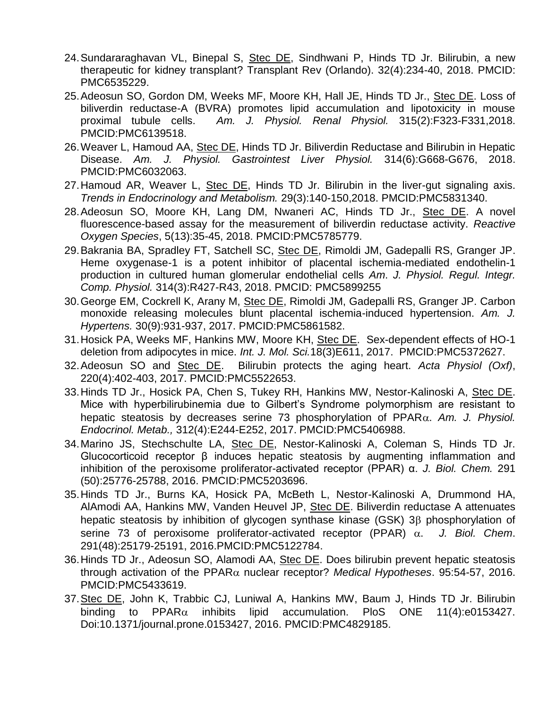- 24.Sundararaghavan VL, Binepal S, Stec DE, Sindhwani P, Hinds TD Jr. Bilirubin, a new therapeutic for kidney transplant? Transplant Rev (Orlando). 32(4):234-40, 2018. PMCID: PMC6535229.
- 25.Adeosun SO, Gordon DM, Weeks MF, Moore KH, Hall JE, Hinds TD Jr., Stec DE. Loss of biliverdin reductase-A (BVRA) promotes lipid accumulation and lipotoxicity in mouse proximal tubule cells. *Am. J. Physiol. Renal Physiol.* 315(2):F323-F331,2018. PMCID:PMC6139518.
- 26. Weaver L, Hamoud AA, Stec DE, Hinds TD Jr. Biliverdin Reductase and Bilirubin in Hepatic Disease. *Am. J. Physiol. Gastrointest Liver Physiol.* 314(6):G668-G676, 2018. PMCID:PMC6032063.
- 27.Hamoud AR, Weaver L, Stec DE, Hinds TD Jr. Bilirubin in the liver-gut signaling axis. *Trends in Endocrinology and Metabolism.* 29(3):140-150,2018. PMCID:PMC5831340.
- 28.Adeosun SO, Moore KH, Lang DM, Nwaneri AC, Hinds TD Jr., Stec DE. A novel fluorescence-based assay for the measurement of biliverdin reductase activity. *Reactive Oxygen Species*, 5(13):35-45, 2018. PMCID:PMC5785779.
- 29. Bakrania BA, Spradley FT, Satchell SC, Stec DE, Rimoldi JM, Gadepalli RS, Granger JP. Heme oxygenase-1 is a potent inhibitor of placental ischemia-mediated endothelin-1 production in cultured human glomerular endothelial cells *Am*. *J. Physiol. Regul. Integr. Comp. Physiol.* 314(3):R427-R43, 2018. PMCID: PMC5899255
- 30.George EM, Cockrell K, Arany M, Stec DE, Rimoldi JM, Gadepalli RS, Granger JP. Carbon monoxide releasing molecules blunt placental ischemia-induced hypertension. *Am. J. Hypertens.* 30(9):931-937, 2017. PMCID:PMC5861582.
- 31.Hosick PA, Weeks MF, Hankins MW, Moore KH, Stec DE. Sex-dependent effects of HO-1 deletion from adipocytes in mice. *Int. J. Mol. Sci.*18(3)E611, 2017. PMCID:PMC5372627.
- 32.Adeosun SO and Stec DE. Bilirubin protects the aging heart. *Acta Physiol (Oxf)*, 220(4):402-403, 2017. PMCID:PMC5522653.
- 33.Hinds TD Jr., Hosick PA, Chen S, Tukey RH, Hankins MW, Nestor-Kalinoski A, Stec DE. Mice with hyperbilirubinemia due to Gilbert's Syndrome polymorphism are resistant to hepatic steatosis by decreases serine 73 phosphorylation of PPAR. *Am. J. Physiol. Endocrinol. Metab.,* 312(4):E244-E252, 2017. PMCID:PMC5406988.
- 34.Marino JS, Stechschulte LA, Stec DE, Nestor-Kalinoski A, Coleman S, Hinds TD Jr. [Glucocorticoid receptor β induces hepatic steatosis by augmenting inflammation and](https://www.ncbi.nlm.nih.gov/pubmed/27784782)  [inhibition of the peroxisome proliferator-activated receptor \(PPAR\) α.](https://www.ncbi.nlm.nih.gov/pubmed/27784782) *J. Biol. Chem.* 291 (50):25776-25788, 2016. PMCID:PMC5203696.
- 35.Hinds TD Jr., Burns KA, Hosick PA, McBeth L, Nestor-Kalinoski A, Drummond HA, AlAmodi AA, Hankins MW, Vanden Heuvel JP, Stec DE. Biliverdin reductase A attenuates hepatic steatosis by inhibition of glycogen synthase kinase (GSK)  $3\beta$  phosphorylation of serine 73 of peroxisome proliferator-activated receptor (PPAR)  $\alpha$ . J. Biol. Chem. 291(48):25179-25191, 2016.PMCID:PMC5122784.
- 36.Hinds TD Jr., Adeosun SO, Alamodi AA, Stec DE. Does bilirubin prevent hepatic steatosis through activation of the PPAR $\alpha$  nuclear receptor? *Medical Hypotheses*. 95:54-57, 2016. PMCID:PMC5433619.
- 37.Stec DE, John K, Trabbic CJ, Luniwal A, Hankins MW, Baum J, Hinds TD Jr. Bilirubin binding to PPAR $\alpha$  inhibits lipid accumulation. PloS ONE 11(4):e0153427. Doi:10.1371/journal.prone.0153427, 2016. PMCID:PMC4829185.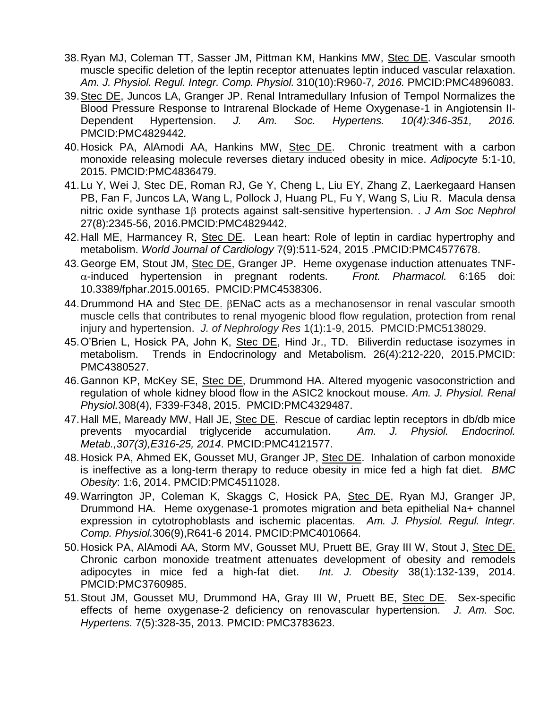- 38.Ryan MJ, Coleman TT, Sasser JM, Pittman KM, Hankins MW, Stec DE. Vascular smooth muscle specific deletion of the leptin receptor attenuates leptin induced vascular relaxation. *Am. J. Physiol. Regul. Integr. Comp. Physiol.* 310(10):R960-7*, 2016.* PMCID:PMC4896083.
- 39.Stec DE, Juncos LA, Granger JP. Renal Intramedullary Infusion of Tempol Normalizes the Blood Pressure Response to Intrarenal Blockade of Heme Oxygenase-1 in Angiotensin II-Dependent Hypertension. *J. Am. Soc. Hypertens. 10(4):346-351, 2016.* PMCID:PMC4829442*.*
- 40.Hosick PA, AlAmodi AA, Hankins MW, Stec DE. Chronic treatment with a carbon monoxide releasing molecule reverses dietary induced obesity in mice. *Adipocyte* 5:1-10, 2015. PMCID:PMC4836479.
- 41.Lu Y, Wei J, Stec DE, Roman RJ, Ge Y, Cheng L, Liu EY, Zhang Z, Laerkegaard Hansen PB, Fan F, Juncos LA, Wang L, Pollock J, Huang PL, Fu Y, Wang S, Liu R. Macula densa nitric oxide synthase 1<sub>β</sub> protects against salt-sensitive hypertension. . *J Am Soc Nephrol* 27(8):2345-56, 2016.PMCID:PMC4829442.
- 42.Hall ME, Harmancey R, Stec DE. Lean heart: Role of leptin in cardiac hypertrophy and metabolism. *World Journal of Cardiology* 7(9):511-524, 2015 .PMCID:PMC4577678.
- 43. George EM, Stout JM, Stec DE, Granger JP. Heme oxygenase induction attenuates TNF--induced hypertension in pregnant rodents. *Front. Pharmacol.* 6:165 doi: 10.3389/fphar.2015.00165. PMCID:PMC4538306.
- 44. Drummond HA and Stec DE. BENaC acts as a mechanosensor in renal vascular smooth muscle cells that contributes to renal myogenic blood flow regulation, protection from renal injury and hypertension. *J. of Nephrology Res* 1(1):1-9, 2015. PMCID:PMC5138029.
- 45. O'Brien L, Hosick PA, John K, Stec DE, Hind Jr., TD. Biliverdin reductase isozymes in metabolism. Trends in Endocrinology and Metabolism. 26(4):212-220, 2015.PMCID: PMC4380527.
- 46.Gannon KP, McKey SE, Stec DE, Drummond HA. Altered myogenic vasoconstriction and regulation of whole kidney blood flow in the ASIC2 knockout mouse. *Am. J. Physiol. Renal Physiol.*308(4), F339-F348, 2015. PMCID:PMC4329487.
- 47.Hall ME, Maready MW, Hall JE, Stec DE. Rescue of cardiac leptin receptors in db/db mice prevents myocardial triglyceride accumulation. *Am. J. Physiol. Endocrinol. Metab.,307(3),E316-25, 2014*. PMCID:PMC4121577.
- 48.Hosick PA, Ahmed EK, Gousset MU, Granger JP, Stec DE. Inhalation of carbon monoxide is ineffective as a long-term therapy to reduce obesity in mice fed a high fat diet. *BMC Obesity*: 1:6, 2014. PMCID:PMC4511028.
- 49. Warrington JP, Coleman K, Skaggs C, Hosick PA, Stec DE, Ryan MJ, Granger JP, Drummond HA. Heme oxygenase-1 promotes migration and beta epithelial Na+ channel expression in cytotrophoblasts and ischemic placentas. *Am. J. Physiol. Regul. Integr. Comp. Physiol.*306(9),R641-6 2014. PMCID:PMC4010664.
- 50.Hosick PA, AlAmodi AA, Storm MV, Gousset MU, Pruett BE, Gray III W, Stout J, Stec DE. Chronic carbon monoxide treatment attenuates development of obesity and remodels adipocytes in mice fed a high-fat diet. *Int. J. Obesity* 38(1):132-139, 2014. PMCID:PMC3760985.
- 51.Stout JM, Gousset MU, Drummond HA, Gray III W, Pruett BE, Stec DE. Sex-specific effects of heme oxygenase-2 deficiency on renovascular hypertension. *J. Am. Soc. Hypertens.* 7(5):328-35, 2013. PMCID: PMC3783623.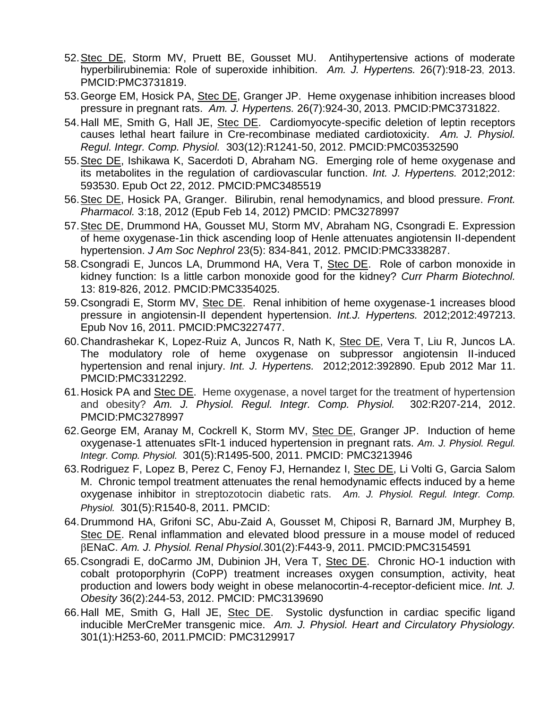- 52.Stec DE, Storm MV, Pruett BE, Gousset MU. Antihypertensive actions of moderate hyperbilirubinemia: Role of superoxide inhibition. *Am. J. Hypertens.* 26(7):918-23, 2013. PMCID:PMC3731819.
- 53.George EM, Hosick PA, Stec DE, Granger JP. Heme oxygenase inhibition increases blood pressure in pregnant rats. *Am. J. Hypertens.* 26(7):924-30, 2013. PMCID:PMC3731822.
- 54. Hall ME, Smith G, Hall JE, Stec DE. Cardiomyocyte-specific deletion of leptin receptors causes lethal heart failure in Cre-recombinase mediated cardiotoxicity. *Am. J. Physiol. Regul. Integr. Comp. Physiol.* 303(12):R1241-50, 2012. PMCID:PMC03532590
- 55.Stec DE, Ishikawa K, Sacerdoti D, Abraham NG. Emerging role of heme oxygenase and its metabolites in the regulation of cardiovascular function. *Int. J. Hypertens.* 2012;2012: 593530. Epub Oct 22, 2012. PMCID:PMC3485519
- 56.Stec DE, Hosick PA, Granger. Bilirubin, renal hemodynamics, and blood pressure. *Front. Pharmacol.* 3:18, 2012 (Epub Feb 14, 2012) PMCID: PMC3278997
- 57.Stec DE, Drummond HA, Gousset MU, Storm MV, Abraham NG, Csongradi E. Expression of heme oxygenase-1in thick ascending loop of Henle attenuates angiotensin II-dependent hypertension. *J Am Soc Nephrol* 23(5): 834-841, 2012. PMCID:PMC3338287.
- 58. Csongradi E, Juncos LA, Drummond HA, Vera T, Stec DE. Role of carbon monoxide in kidney function: Is a little carbon monoxide good for the kidney? *[Curr Pharm Biotechnol.](http://www.ncbi.nlm.nih.gov/pubmed/22201605)* 13: 819-826, 2012. PMCID:PMC3354025.
- 59. Csongradi E, Storm MV, Stec DE. Renal inhibition of heme oxygenase-1 increases blood pressure in angiotensin-II dependent hypertension. *Int.J. Hypertens.* 2012;2012:497213. Epub Nov 16, 2011. PMCID:PMC3227477.
- 60.Chandrashekar K, Lopez-Ruiz A, Juncos R, Nath K, Stec DE, Vera T, Liu R, Juncos LA. [The modulatory role of heme oxygenase on subpressor angiotensin II-induced](http://www.ncbi.nlm.nih.gov/pubmed/22506099)  [hypertension and renal injury.](http://www.ncbi.nlm.nih.gov/pubmed/22506099) *Int. J. Hypertens.* 2012;2012:392890. Epub 2012 Mar 11. PMCID:PMC3312292.
- 61.Hosick PA and Stec DE. Heme oxygenase, a novel target for the treatment of hypertension and obesity? *Am. J. Physiol. Regul. Integr. Comp. Physiol.* 302:R207-214, 2012. PMCID:PMC3278997
- 62.George EM, Aranay M, Cockrell K, Storm MV, Stec DE, Granger JP. Induction of heme oxygenase-1 attenuates sFlt-1 induced hypertension in pregnant rats. *Am. J. Physiol. Regul. Integr. Comp. Physiol.* 301(5):R1495-500, 2011. PMCID: PMC3213946
- 63.Rodriguez F, Lopez B, Perez C, Fenoy FJ, Hernandez I, Stec DE, Li Volti G, Garcia Salom M. Chronic tempol treatment attenuates the renal hemodynamic effects induced by a heme oxygenase inhibitor in streptozotocin diabetic rats. *Am. J. Physiol. Regul. Integr. Comp. Physiol.* 301(5):R1540-8, 2011. PMCID:
- 64.Drummond HA, Grifoni SC, Abu-Zaid A, Gousset M, Chiposi R, Barnard JM, Murphey B, Stec DE. [Renal inflammation and elevated blood pressure in a mouse model of reduced](http://www.ncbi.nlm.nih.gov/pubmed/21543417)  [ENaC.](http://www.ncbi.nlm.nih.gov/pubmed/21543417) *Am. J. Physiol. Renal Physiol.*301(2):F443-9, 2011. PMCID:PMC3154591
- 65.Csongradi E, doCarmo JM, Dubinion JH, Vera T, Stec DE. Chronic HO-1 induction with cobalt protoporphyrin (CoPP) treatment increases oxygen consumption, activity, heat production and lowers body weight in obese melanocortin-4-receptor-deficient mice. *Int. J. Obesity* 36(2):244-53, 2012. PMCID: PMC3139690
- 66. Hall ME, Smith G, Hall JE, Stec DE. Systolic dysfunction in cardiac specific ligand inducible MerCreMer transgenic mice. *Am. J. Physiol. Heart and Circulatory Physiology.* 301(1):H253-60, 2011.PMCID: PMC3129917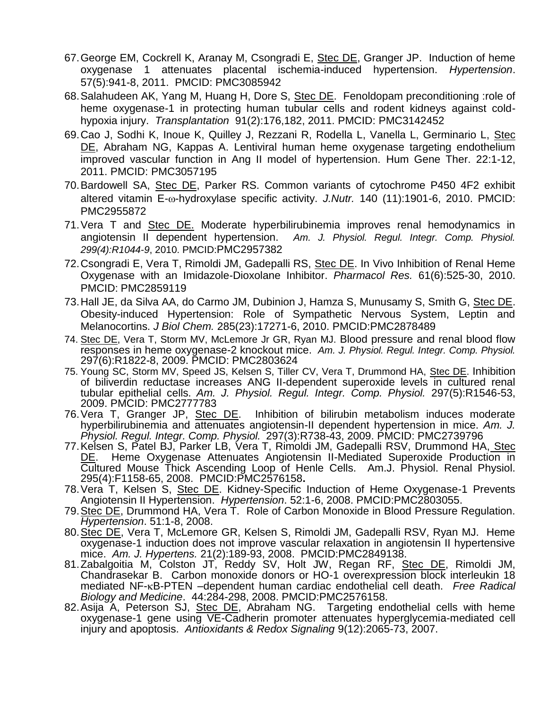- 67.George EM, Cockrell K, Aranay M, Csongradi E, Stec DE, Granger JP. Induction of heme oxygenase 1 attenuates placental ischemia-induced hypertension. *Hypertension*. 57(5):941-8, 2011. PMCID: PMC3085942
- 68.Salahudeen AK, Yang M, Huang H, Dore S, Stec DE. Fenoldopam preconditioning :role of heme oxygenase-1 in protecting human tubular cells and rodent kidneys against coldhypoxia injury. *Transplantation* 91(2):176,182, 2011. PMCID: PMC3142452
- 69.Cao J, Sodhi K, Inoue K, Quilley J, Rezzani R, Rodella L, Vanella L, Germinario L, Stec DE, Abraham NG, Kappas A. Lentiviral human heme oxygenase targeting endothelium improved vascular function in Ang II model of hypertension. [Hum Gene Ther.](javascript:AL_get(this,%20) 22:1-12, 2011. PMCID: PMC3057195
- 70.Bardowell SA, Stec DE, Parker RS. Common variants of cytochrome P450 4F2 exhibit altered vitamin E- $\omega$ -hydroxylase specific activity. *J.Nutr.* 140 (11):1901-6, 2010. PMCID: PMC2955872
- 71. Vera T and Stec DE. Moderate hyperbilirubinemia improves renal hemodynamics in angiotensin II dependent hypertension. *Am. J. Physiol. Regul. Integr. Comp. Physiol. 299(4):R1044-9*, 2010. PMCID:PMC2957382
- 72.Csongradi E, Vera T, Rimoldi JM, Gadepalli RS, Stec DE. [In Vivo Inhibition of Renal Heme](http://www.ncbi.nlm.nih.gov/pubmed/20338241)  [Oxygenase with an Imidazole-Dioxolane Inhibitor.](http://www.ncbi.nlm.nih.gov/pubmed/20338241) *Pharmacol Res.* 61(6):525-30, 2010. PMCID: PMC2859119
- 73.Hall JE, da Silva AA, do Carmo JM, Dubinion J, Hamza S, Munusamy S, Smith G, Stec DE. [Obesity-induced Hypertension: Role of Sympathetic Nervous System, Leptin and](http://www.ncbi.nlm.nih.gov/pubmed/20348094)  [Melanocortins.](http://www.ncbi.nlm.nih.gov/pubmed/20348094) *J Biol Chem.* 285(23):17271-6, 2010. PMCID:PMC2878489
- 74. Stec DE, Vera T, Storm MV, McLemore Jr GR, Ryan MJ. [Blood pressure and renal blood flow](http://www.ncbi.nlm.nih.gov/pubmed/19846746?itool=EntrezSystem2.PEntrez.Pubmed.Pubmed_ResultsPanel.Pubmed_RVDocSum&ordinalpos=1)  [responses in heme oxygenase-2 knockout mice.](http://www.ncbi.nlm.nih.gov/pubmed/19846746?itool=EntrezSystem2.PEntrez.Pubmed.Pubmed_ResultsPanel.Pubmed_RVDocSum&ordinalpos=1) *Am. J. Physiol. Regul. Integr. Comp. Physiol.*  297(6):R1822-8, 2009. PMCID: PMC2803624
- 75. Young SC, Storm MV, Speed JS, Kelsen S, Tiller CV, Vera T, Drummond HA, Stec DE. [Inhibition](http://www.ncbi.nlm.nih.gov/pubmed/19759334?itool=EntrezSystem2.PEntrez.Pubmed.Pubmed_ResultsPanel.Pubmed_RVDocSum&ordinalpos=2)  of biliverdin reductase increases ANG II-dependent superoxide levels in cultured renal [tubular epithelial cells.](http://www.ncbi.nlm.nih.gov/pubmed/19759334?itool=EntrezSystem2.PEntrez.Pubmed.Pubmed_ResultsPanel.Pubmed_RVDocSum&ordinalpos=2) *Am. J. Physiol. Regul. Integr. Comp. Physiol.* 297(5):R1546-53, 2009. PMCID: PMC2777783
- 76. Vera T, Granger JP, Stec DE. Inhibition of bilirubin metabolism induces moderate hyperbilirubinemia and attenuates angiotensin-II dependent hypertension in mice. *Am. J. Physiol. Regul. Integr. Comp. Physiol.* 297(3):R738-43, 2009. PMCID: PMC2739796
- 77.Kelsen S, Patel BJ, Parker LB, Vera T, Rimoldi JM, Gadepalli RSV, Drummond HA, Stec DE. Heme Oxygenase Attenuates Angiotensin II-Mediated Superoxide Production in Cultured Mouse Thick Ascending Loop of Henle Cells. Am.J. Physiol. Renal Physiol. 295(4):F1158-65, 2008. PMCID:PMC2576158**.**
- 78. Vera T, Kelsen S, Stec DE. Kidney-Specific Induction of Heme Oxygenase-1 Prevents Angiotensin II Hypertension. *Hypertension*. 52:1-6, 2008. PMCID:PMC2803055.
- 79.Stec DE, Drummond HA, Vera T. Role of Carbon Monoxide in Blood Pressure Regulation. *Hypertension*. 51:1-8, 2008.
- 80.Stec DE, Vera T, McLemore GR, Kelsen S, Rimoldi JM, Gadepalli RSV, Ryan MJ. Heme oxygenase-1 induction does not improve vascular relaxation in angiotensin II hypertensive mice. *Am. J. Hypertens.* 21(2):189-93, 2008. PMCID:PMC2849138.
- 81. Zabalgoitia M, Colston JT, Reddy SV, Holt JW, Regan RF, Stec DE, Rimoldi JM, Chandrasekar B. Carbon monoxide donors or HO-1 overexpression block interleukin 18 mediated NF-B-PTEN –dependent human cardiac endothelial cell death. *Free Radical Biology and Medicine*. 44:284-298, 2008. PMCID:PMC2576158.
- 82.Asija A, Peterson SJ, <u>Stec DE</u>, Abraham NG. Targeting endothelial cells with heme oxygenase-1 gene using VE-Cadherin promoter attenuates hyperglycemia-mediated cell injury and apoptosis. *Antioxidants & Redox Signaling* 9(12):2065-73, 2007.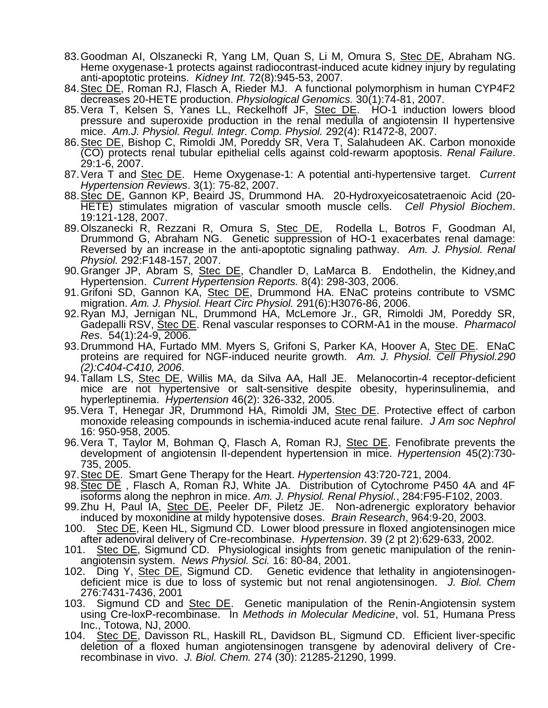- 83.Goodman AI, Olszanecki R, Yang LM, Quan S, Li M, Omura S, <u>Stec DE</u>, Abraham NG. Heme oxygenase-1 protects against radiocontrast-induced acute kidney injury by regulating anti-apoptotic proteins. *Kidney Int.* 72(8):945-53, 2007.
- 84.Stec DE, Roman RJ, Flasch A, Rieder MJ. A functional polymorphism in human CYP4F2 decreases 20-HETE production. *Physiological Genomics.* 30(1):74-81, 2007.
- 85. Vera T, Kelsen S, Yanes LL, Reckelhoff JF, Stec DE. HO-1 induction lowers blood pressure and superoxide production in the renal medulla of angiotensin II hypertensive mice. *Am.J. Physiol. Regul. Integr. Comp. Physiol.* 292(4): R1472-8, 2007.
- 86.Stec DE, Bishop C, Rimoldi JM, Poreddy SR, Vera T, Salahudeen AK. Carbon monoxide (CO) protects renal tubular epithelial cells against cold-rewarm apoptosis. *Renal Failure*. 29:1-6, 2007.
- 87.Vera T and Stec DE. Heme Oxygenase-1: A potential anti-hypertensive target. *Current Hypertension Reviews*. 3(1): 75-82, 2007.
- 88.Stec DE, Gannon KP, Beaird JS, Drummond HA. 20-Hydroxyeicosatetraenoic Acid (20- HETE) stimulates migration of vascular smooth muscle cells. *Cell Physiol Biochem*. 19:121-128, 2007.
- 89.Olszanecki R, Rezzani R, Omura S, Stec DE, Rodella L, Botros F, Goodman AI, Drummond G, Abraham NG. Genetic suppression of HO-1 exacerbates renal damage: Reversed by an increase in the anti-apoptotic signaling pathway. *Am. J. Physiol. Renal Physiol.* 292:F148-157, 2007.
- 90.Granger JP, Abram S, Stec DE, Chandler D, LaMarca B. Endothelin, the Kidney,and Hypertension. *Current Hypertension Reports.* 8(4): 298-303, 2006.
- 91. Grifoni SD, Gannon KA, Stec DE, Drummond HA. ENaC proteins contribute to VSMC migration. *Am. J. Physiol. Heart Circ Physiol.* 291(6):H3076-86, 2006.
- 92.Ryan MJ, Jernigan NL, Drummond HA, McLemore Jr., GR, Rimoldi JM, Poreddy SR, Gadepalli RSV, Stec DE. Renal vascular responses to CORM-A1 in the mouse. *Pharmacol Res*. 54(1):24-9, 2006.
- 93.Drummond HA, Furtado MM. Myers S, Grifoni S, Parker KA, Hoover A, Stec DE. ENaC proteins are required for NGF-induced neurite growth. *Am. J. Physiol. Cell Physiol.290 (2):C404-C410, 2006*.
- 94. Tallam LS, Stec DE, Willis MA, da Silva AA, Hall JE. Melanocortin-4 receptor-deficient mice are not hypertensive or salt-sensitive despite obesity, hyperinsulinemia, and hyperleptinemia. *Hypertension* 46(2): 326-332, 2005.
- 95. Vera T, Henegar JR, Drummond HA, Rimoldi JM, Stec DE. Protective effect of carbon monoxide releasing compounds in ischemia-induced acute renal failure. *J Am soc Nephrol*  16: 950-958, 2005*.*
- 96. Vera T, Taylor M, Bohman Q, Flasch A, Roman RJ, Stec DE. Fenofibrate prevents the development of angiotensin II-dependent hypertension in mice. *Hypertension* 45(2):730- 735, 2005.
- 97.Stec DE. Smart Gene Therapy for the Heart. *Hypertension* 43:720-721, 2004.
- 98.Stec DE , Flasch A, Roman RJ, White JA. Distribution of Cytochrome P450 4A and 4F isoforms along the nephron in mice. *Am. J. Physiol. Renal Physiol.*, 284:F95-F102, 2003.
- 99.Zhu H, Paul IA, Stec DE, Peeler DF, Piletz JE. Non-adrenergic exploratory behavior induced by moxonidine at mildy hypotensive doses. *Brain Research*, 964:9-20, 2003.
- 100. Stec DE, Keen HL, Sigmund CD. Lower blood pressure in floxed angiotensinogen mice after adenoviral delivery of Cre-recombinase. *Hypertension*. 39 (2 pt 2):629-633, 2002.
- 101. Stec DE, Sigmund CD. Physiological insights from genetic manipulation of the reninangiotensin system. *News Physiol. Sci.* 16: 80-84, 2001.
- 102. Ding Y, Stec DE, Sigmund CD. Genetic evidence that lethality in angiotensinogendeficient mice is due to loss of systemic but not renal angiotensinogen. *J. Biol. Chem* 276:7431-7436, 2001
- 103. Sigmund CD and Stec DE. Genetic manipulation of the Renin-Angiotensin system using Cre-loxP-recombinase. In *Methods in Molecular Medicine*, vol. 51, Humana Press Inc., Totowa, NJ, 2000.
- 104. Stec DE, Davisson RL, Haskill RL, Davidson BL, Sigmund CD. Efficient liver-specific deletion of a floxed human angiotensinogen transgene by adenoviral delivery of Crerecombinase in vivo. *J. Biol. Chem.* 274 (30): 21285-21290, 1999.